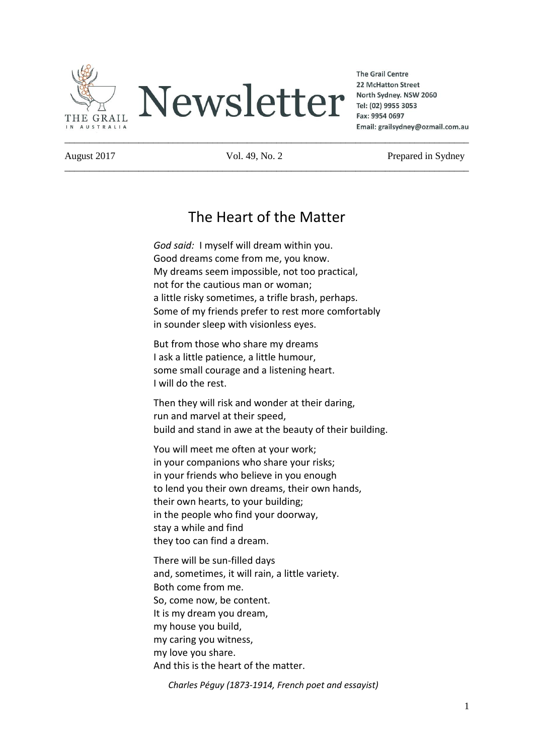

**The Grail Centre** 22 McHatton Street North Sydney. NSW 2060 Tel: (02) 9955 3053 Fax: 9954 0697 Email: grailsydney@ozmail.com.au

\_\_\_\_\_\_\_\_\_\_\_\_\_\_\_\_\_\_\_\_\_\_\_\_\_\_\_\_\_\_\_\_\_\_\_\_\_\_\_\_\_\_\_\_\_\_\_\_\_\_\_\_\_\_\_\_\_\_\_\_\_\_\_\_\_\_\_\_\_\_\_\_\_\_\_\_\_\_\_\_\_\_

August 2017 Vol. 49, No. 2 Prepared in Sydney

# The Heart of the Matter

*God said:* I myself will dream within you. Good dreams come from me, you know. My dreams seem impossible, not too practical, not for the cautious man or woman; a little risky sometimes, a trifle brash, perhaps. Some of my friends prefer to rest more comfortably in sounder sleep with visionless eyes.

But from those who share my dreams I ask a little patience, a little humour, some small courage and a listening heart. I will do the rest.

Then they will risk and wonder at their daring, run and marvel at their speed, build and stand in awe at the beauty of their building.

You will meet me often at your work; in your companions who share your risks; in your friends who believe in you enough to lend you their own dreams, their own hands, their own hearts, to your building; in the people who find your doorway, stay a while and find they too can find a dream.

There will be sun-filled days and, sometimes, it will rain, a little variety. Both come from me. So, come now, be content. It is my dream you dream, my house you build, my caring you witness, my love you share. And this is the heart of the matter.

 *Charles Péguy (1873-1914, French poet and essayist)*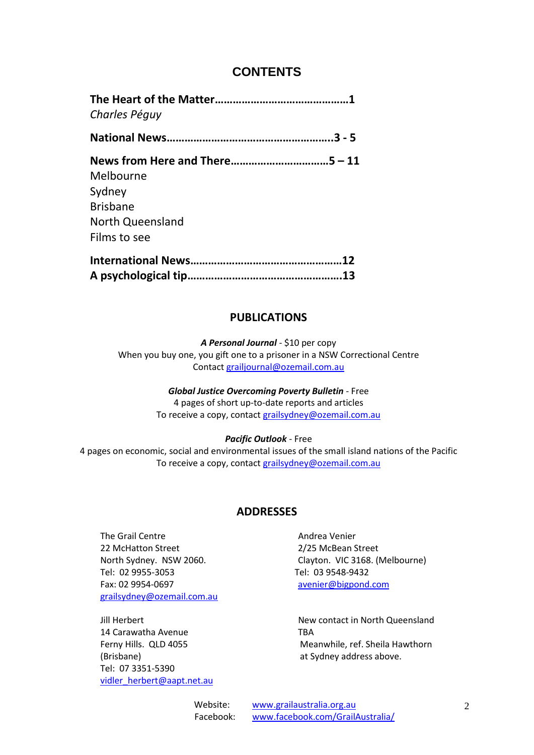# **CONTENTS**

| Charles Péguy    |  |
|------------------|--|
|                  |  |
|                  |  |
| Melbourne        |  |
| Sydney           |  |
| <b>Brisbane</b>  |  |
| North Queensland |  |
| Films to see     |  |
|                  |  |
|                  |  |

### **PUBLICATIONS**

*A Personal Journal* - \$10 per copy When you buy one, you gift one to a prisoner in a NSW Correctional Centre Contact [grailjournal@ozemail.com.au](mailto:grailjournal@ozemail.com.au)

*Global Justice Overcoming Poverty Bulletin* - Free

4 pages of short up-to-date reports and articles To receive a copy, contact [grailsydney@ozemail.com.au](mailto:grailsydney@ozemail.com.au)

#### *Pacific Outlook* - Free

4 pages on economic, social and environmental issues of the small island nations of the Pacific To receive a copy, contact [grailsydney@ozemail.com.au](mailto:grailsydney@ozemail.com.au)

# **ADDRESSES**

The Grail Centre **Andrea Venier** Andrea Venier 22 McHatton Street 2/25 McBean Street Tel: 02 9955-3053 Tel: 03 9548-9432 Fax: 02 9954-0697 [avenier@bigpond.com](mailto:avenier@bigpond.com) [grailsydney@ozemail.com.au](mailto:grailsydney@ozemail.com.au)

14 Carawatha Avenue TBA (Brisbane) at Sydney address above. Tel: 07 3351-5390 [vidler\\_herbert@aapt.net.au](mailto:vidler_herbert@aapt.net.au)

North Sydney. NSW 2060. Clayton. VIC 3168. (Melbourne)

Jill Herbert New contact in North Queensland Ferny Hills. QLD 4055 Meanwhile, ref. Sheila Hawthorn

> Website: [www.grailaustralia.org.au](http://www.grailaustralia.org.au/) Facebook: [www.facebook.com/GrailAustralia/](http://www.facebook.com/GrailAustralia/)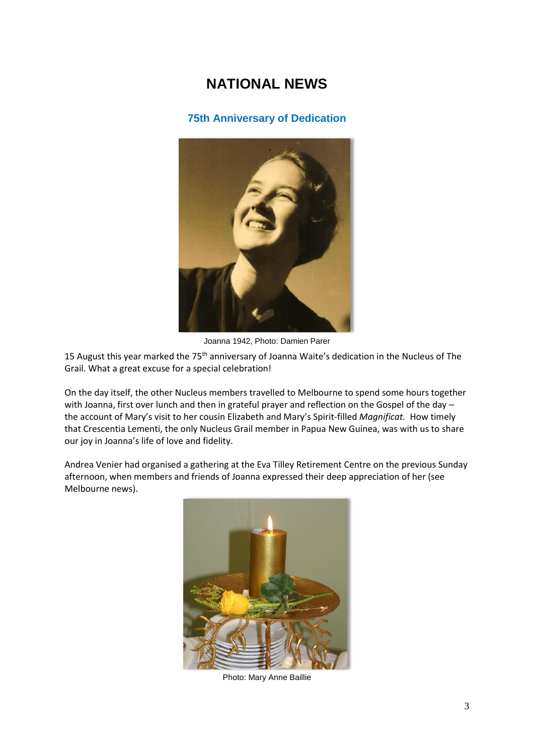# **NATIONAL NEWS**

## **75th Anniversary of Dedication**



Joanna 1942, Photo: Damien Parer

15 August this year marked the 75<sup>th</sup> anniversary of Joanna Waite's dedication in the Nucleus of The Grail. What a great excuse for a special celebration!

On the day itself, the other Nucleus members travelled to Melbourne to spend some hours together with Joanna, first over lunch and then in grateful prayer and reflection on the Gospel of the day the account of Mary's visit to her cousin Elizabeth and Mary's Spirit-filled *Magnificat.* How timely that Crescentia Lementi, the only Nucleus Grail member in Papua New Guinea, was with us to share our joy in Joanna's life of love and fidelity.

Andrea Venier had organised a gathering at the Eva Tilley Retirement Centre on the previous Sunday afternoon, when members and friends of Joanna expressed their deep appreciation of her (see Melbourne news).



Photo: Mary Anne Baillie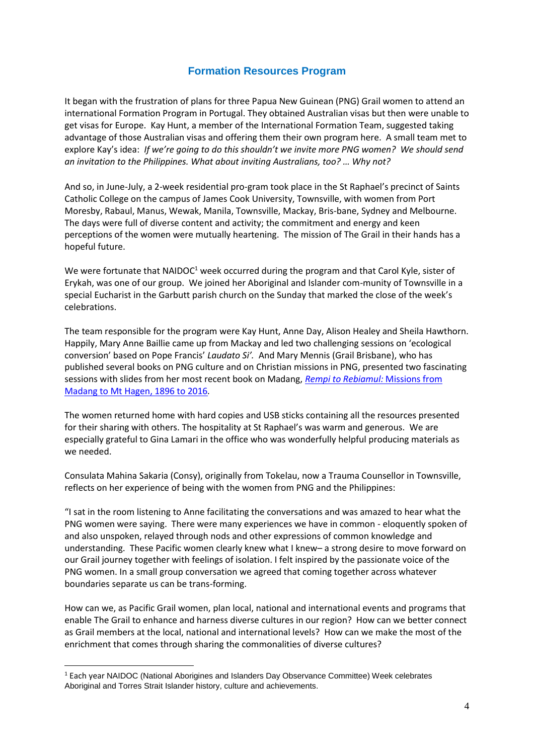#### **Formation Resources Program**

It began with the frustration of plans for three Papua New Guinean (PNG) Grail women to attend an international Formation Program in Portugal. They obtained Australian visas but then were unable to get visas for Europe. Kay Hunt, a member of the International Formation Team, suggested taking advantage of those Australian visas and offering them their own program here. A small team met to explore Kay's idea: *If we're going to do this shouldn't we invite more PNG women? We should send an invitation to the Philippines. What about inviting Australians, too? … Why not?*

And so, in June-July, a 2-week residential pro-gram took place in the St Raphael's precinct of Saints Catholic College on the campus of James Cook University, Townsville, with women from Port Moresby, Rabaul, Manus, Wewak, Manila, Townsville, Mackay, Bris-bane, Sydney and Melbourne. The days were full of diverse content and activity; the commitment and energy and keen perceptions of the women were mutually heartening. The mission of The Grail in their hands has a hopeful future.

We were fortunate that NAIDOC<sup>1</sup> week occurred during the program and that Carol Kyle, sister of Erykah, was one of our group. We joined her Aboriginal and Islander com-munity of Townsville in a special Eucharist in the Garbutt parish church on the Sunday that marked the close of the week's celebrations.

The team responsible for the program were Kay Hunt, Anne Day, Alison Healey and Sheila Hawthorn. Happily, Mary Anne Baillie came up from Mackay and led two challenging sessions on 'ecological conversion' based on Pope Francis' *Laudato Si'.* And Mary Mennis (Grail Brisbane), who has published several books on PNG culture and on Christian missions in PNG, presented two fascinating sessions with slides from her most recent book on Madang, *[Rempi to Rebiamul:](https://www.amazon.com/Rempi-Rebiamul-Missions-Madang-Hagen/dp/9980891866)* Missions from [Madang to Mt Hagen, 1896 to 2016](https://www.amazon.com/Rempi-Rebiamul-Missions-Madang-Hagen/dp/9980891866)*.*

The women returned home with hard copies and USB sticks containing all the resources presented for their sharing with others. The hospitality at St Raphael's was warm and generous. We are especially grateful to Gina Lamari in the office who was wonderfully helpful producing materials as we needed.

Consulata Mahina Sakaria (Consy), originally from Tokelau, now a Trauma Counsellor in Townsville, reflects on her experience of being with the women from PNG and the Philippines:

"I sat in the room listening to Anne facilitating the conversations and was amazed to hear what the PNG women were saying. There were many experiences we have in common - eloquently spoken of and also unspoken, relayed through nods and other expressions of common knowledge and understanding. These Pacific women clearly knew what I knew– a strong desire to move forward on our Grail journey together with feelings of isolation. I felt inspired by the passionate voice of the PNG women. In a small group conversation we agreed that coming together across whatever boundaries separate us can be trans-forming.

How can we, as Pacific Grail women, plan local, national and international events and programs that enable The Grail to enhance and harness diverse cultures in our region? How can we better connect as Grail members at the local, national and international levels? How can we make the most of the enrichment that comes through sharing the commonalities of diverse cultures?

-

<sup>&</sup>lt;sup>1</sup> Each year NAIDOC (National Aborigines and Islanders Day Observance Committee) Week celebrates Aboriginal and Torres Strait Islander history, culture and achievements.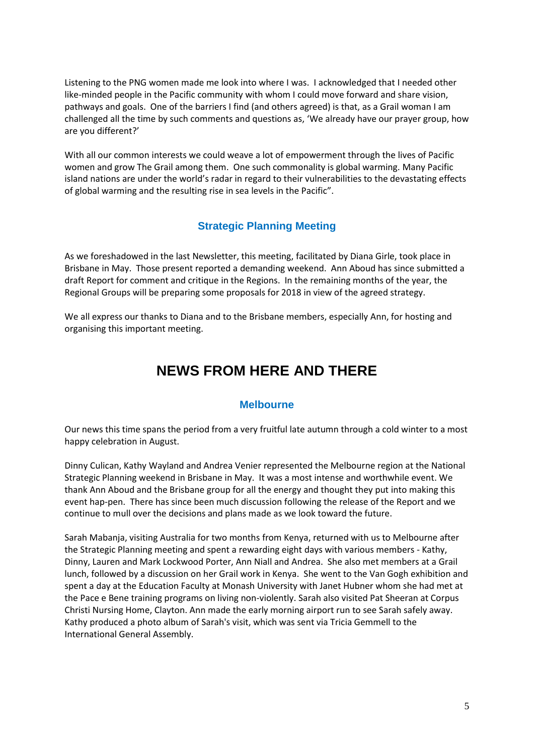Listening to the PNG women made me look into where I was. I acknowledged that I needed other like-minded people in the Pacific community with whom I could move forward and share vision, pathways and goals. One of the barriers I find (and others agreed) is that, as a Grail woman I am challenged all the time by such comments and questions as, 'We already have our prayer group, how are you different?'

With all our common interests we could weave a lot of empowerment through the lives of Pacific women and grow The Grail among them. One such commonality is global warming. Many Pacific island nations are under the world's radar in regard to their vulnerabilities to the devastating effects of global warming and the resulting rise in sea levels in the Pacific".

# **Strategic Planning Meeting**

As we foreshadowed in the last Newsletter, this meeting, facilitated by Diana Girle, took place in Brisbane in May. Those present reported a demanding weekend. Ann Aboud has since submitted a draft Report for comment and critique in the Regions. In the remaining months of the year, the Regional Groups will be preparing some proposals for 2018 in view of the agreed strategy.

We all express our thanks to Diana and to the Brisbane members, especially Ann, for hosting and organising this important meeting.

# **NEWS FROM HERE AND THERE**

#### **Melbourne**

Our news this time spans the period from a very fruitful late autumn through a cold winter to a most happy celebration in August.

Dinny Culican, Kathy Wayland and Andrea Venier represented the Melbourne region at the National Strategic Planning weekend in Brisbane in May. It was a most intense and worthwhile event. We thank Ann Aboud and the Brisbane group for all the energy and thought they put into making this event hap-pen. There has since been much discussion following the release of the Report and we continue to mull over the decisions and plans made as we look toward the future.

Sarah Mabanja, visiting Australia for two months from Kenya, returned with us to Melbourne after the Strategic Planning meeting and spent a rewarding eight days with various members - Kathy, Dinny, Lauren and Mark Lockwood Porter, Ann Niall and Andrea. She also met members at a Grail lunch, followed by a discussion on her Grail work in Kenya. She went to the Van Gogh exhibition and spent a day at the Education Faculty at Monash University with Janet Hubner whom she had met at the Pace e Bene training programs on living non-violently. Sarah also visited Pat Sheeran at Corpus Christi Nursing Home, Clayton. Ann made the early morning airport run to see Sarah safely away. Kathy produced a photo album of Sarah's visit, which was sent via Tricia Gemmell to the International General Assembly.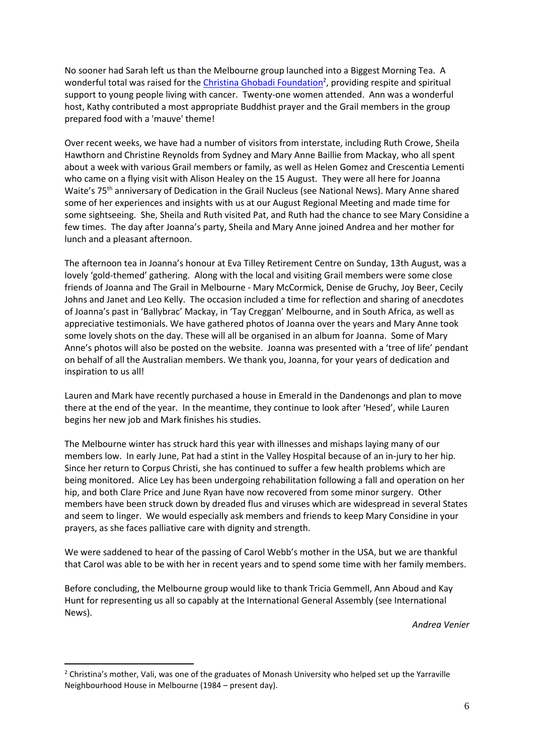No sooner had Sarah left us than the Melbourne group launched into a Biggest Morning Tea. A wonderful total was raised for the *Christina Ghobadi Foundation<sup>2</sup>*, providing respite and spiritual support to young people living with cancer. Twenty-one women attended. Ann was a wonderful host, Kathy contributed a most appropriate Buddhist prayer and the Grail members in the group prepared food with a 'mauve' theme!

Over recent weeks, we have had a number of visitors from interstate, including Ruth Crowe, Sheila Hawthorn and Christine Reynolds from Sydney and Mary Anne Baillie from Mackay, who all spent about a week with various Grail members or family, as well as Helen Gomez and Crescentia Lementi who came on a flying visit with Alison Healey on the 15 August. They were all here for Joanna Waite's 75<sup>th</sup> anniversary of Dedication in the Grail Nucleus (see National News). Mary Anne shared some of her experiences and insights with us at our August Regional Meeting and made time for some sightseeing. She, Sheila and Ruth visited Pat, and Ruth had the chance to see Mary Considine a few times. The day after Joanna's party, Sheila and Mary Anne joined Andrea and her mother for lunch and a pleasant afternoon.

The afternoon tea in Joanna's honour at Eva Tilley Retirement Centre on Sunday, 13th August, was a lovely 'gold-themed' gathering. Along with the local and visiting Grail members were some close friends of Joanna and The Grail in Melbourne - Mary McCormick, Denise de Gruchy, Joy Beer, Cecily Johns and Janet and Leo Kelly. The occasion included a time for reflection and sharing of anecdotes of Joanna's past in 'Ballybrac' Mackay, in 'Tay Creggan' Melbourne, and in South Africa, as well as appreciative testimonials. We have gathered photos of Joanna over the years and Mary Anne took some lovely shots on the day. These will all be organised in an album for Joanna. Some of Mary Anne's photos will also be posted on the website. Joanna was presented with a 'tree of life' pendant on behalf of all the Australian members. We thank you, Joanna, for your years of dedication and inspiration to us all!

Lauren and Mark have recently purchased a house in Emerald in the Dandenongs and plan to move there at the end of the year. In the meantime, they continue to look after 'Hesed', while Lauren begins her new job and Mark finishes his studies.

The Melbourne winter has struck hard this year with illnesses and mishaps laying many of our members low. In early June, Pat had a stint in the Valley Hospital because of an in-jury to her hip. Since her return to Corpus Christi, she has continued to suffer a few health problems which are being monitored. Alice Ley has been undergoing rehabilitation following a fall and operation on her hip, and both Clare Price and June Ryan have now recovered from some minor surgery. Other members have been struck down by dreaded flus and viruses which are widespread in several States and seem to linger. We would especially ask members and friends to keep Mary Considine in your prayers, as she faces palliative care with dignity and strength.

We were saddened to hear of the passing of Carol Webb's mother in the USA, but we are thankful that Carol was able to be with her in recent years and to spend some time with her family members.

Before concluding, the Melbourne group would like to thank Tricia Gemmell, Ann Aboud and Kay Hunt for representing us all so capably at the International General Assembly (see International News).

*Andrea Venier*

1

<sup>&</sup>lt;sup>2</sup> Christina's mother, Vali, was one of the graduates of Monash University who helped set up the Yarraville Neighbourhood House in Melbourne (1984 – present day).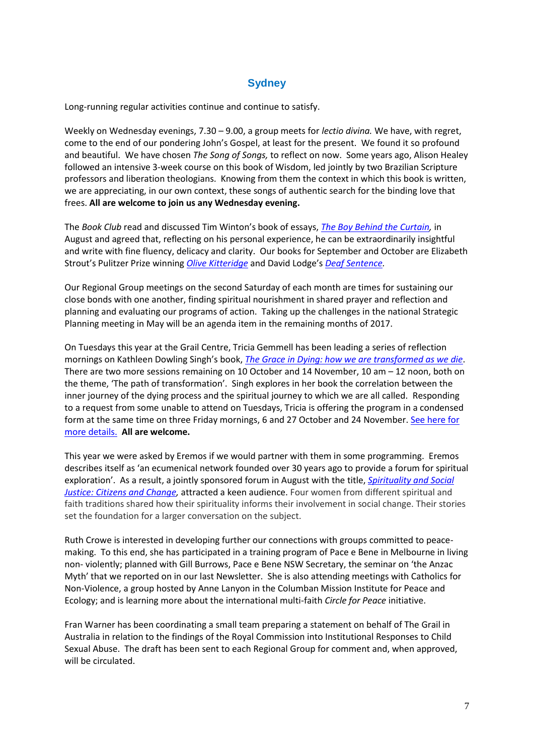#### **Sydney**

Long-running regular activities continue and continue to satisfy.

Weekly on Wednesday evenings, 7.30 – 9.00, a group meets for *lectio divina.* We have, with regret, come to the end of our pondering John's Gospel, at least for the present. We found it so profound and beautiful. We have chosen *The Song of Songs,* to reflect on now. Some years ago, Alison Healey followed an intensive 3-week course on this book of Wisdom, led jointly by two Brazilian Scripture professors and liberation theologians. Knowing from them the context in which this book is written, we are appreciating, in our own context, these songs of authentic search for the binding love that frees. **All are welcome to join us any Wednesday evening.**

The *Book Club* read and discussed Tim Winton's book of essays, *[The Boy Behind the Curtain,](https://www.penguin.com.au/books/the-boy-behind-the-curtain-9780143785996)* in August and agreed that, reflecting on his personal experience, he can be extraordinarily insightful and write with fine fluency, delicacy and clarity. Our books for September and October are Elizabeth Strout's Pulitzer Prize winning *[Olive Kitteridge](http://www.elizabethstrout.com/books/olive-kitteridge/)* and David Lodge's *[Deaf Sentence.](https://www.amazon.com/gp/product/1846551684/ref=x_gr_w_bb?ie=UTF8&tag=x_gr_w_bb-20&linkCode=as2&camp=1789&creative=9325&creativeASIN=1846551684&SubscriptionId=1MGPYB6YW3HWK55XCGG2)*

Our Regional Group meetings on the second Saturday of each month are times for sustaining our close bonds with one another, finding spiritual nourishment in shared prayer and reflection and planning and evaluating our programs of action. Taking up the challenges in the national Strategic Planning meeting in May will be an agenda item in the remaining months of 2017.

On Tuesdays this year at the Grail Centre, Tricia Gemmell has been leading a series of reflection mornings on Kathleen Dowling Singh's book, *[The Grace in Dying: how we are transformed as we die](https://www.amazon.com/gp/product/0062515659?ie=UTF8&tag=kathle02-20&linkCode=as2&camp=1789&creative=9325&creativeASIN=0062515659)*. There are two more sessions remaining on 10 October and 14 November, 10 am – 12 noon, both on the theme, 'The path of transformation'. Singh explores in her book the correlation between the inner journey of the dying process and the spiritual journey to which we are all called. Responding to a request from some unable to attend on Tuesdays, Tricia is offering the program in a condensed form at the same time on three Friday mornings, 6 and 27 October and 24 November. [See here for](http://www.grailaustralia.org.au/news/by-popular-demand-a-condensed-program-for-reflecting-on-the-spiritual-journey/)  [more details.](http://www.grailaustralia.org.au/news/by-popular-demand-a-condensed-program-for-reflecting-on-the-spiritual-journey/) **All are welcome.**

This year we were asked by Eremos if we would partner with them in some programming. Eremos describes itself as 'an ecumenical network founded over 30 years ago to provide a forum for spiritual exploration'. As a result, a jointly sponsored forum in August with the title, *[Spirituality and Social](http://www.grailaustralia.org.au/news/spirituality-and-social-justice-citizens-and-change/)  [Justice: Citizens and Change,](http://www.grailaustralia.org.au/news/spirituality-and-social-justice-citizens-and-change/)* attracted a keen audience. Four women from different spiritual and faith traditions shared how their spirituality informs their involvement in social change. Their stories set the foundation for a larger conversation on the subject.

Ruth Crowe is interested in developing further our connections with groups committed to peacemaking. To this end, she has participated in a training program of Pace e Bene in Melbourne in living non- violently; planned with Gill Burrows, Pace e Bene NSW Secretary, the seminar on 'the Anzac Myth' that we reported on in our last Newsletter. She is also attending meetings with Catholics for Non-Violence, a group hosted by Anne Lanyon in the Columban Mission Institute for Peace and Ecology; and is learning more about the international multi-faith *Circle for Peace* initiative.

Fran Warner has been coordinating a small team preparing a statement on behalf of The Grail in Australia in relation to the findings of the Royal Commission into Institutional Responses to Child Sexual Abuse. The draft has been sent to each Regional Group for comment and, when approved, will be circulated.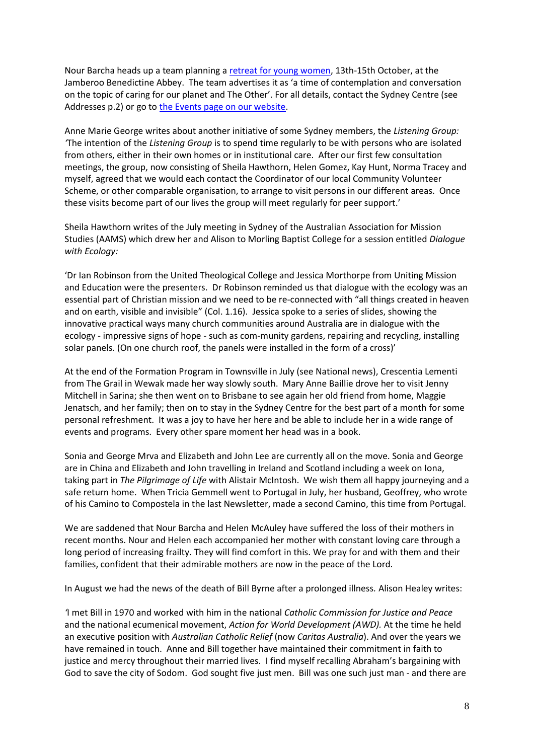Nour Barcha heads up a team planning [a retreat for young women,](http://www.grailaustralia.org.au/news/empowering-young-women-to-shake-the-world/) 13th-15th October, at the Jamberoo Benedictine Abbey. The team advertises it as 'a time of contemplation and conversation on the topic of caring for our planet and The Other'. For all details, contact the Sydney Centre (see Addresses p.2) or go t[o the Events page on our website.](http://www.grailaustralia.org.au/event/young-womens-retreat-in-a-gentle-way-you-can-shake-the-world/)

Anne Marie George writes about another initiative of some Sydney members, the *Listening Group: '*The intention of the *Listening Group* is to spend time regularly to be with persons who are isolated from others, either in their own homes or in institutional care. After our first few consultation meetings, the group, now consisting of Sheila Hawthorn, Helen Gomez, Kay Hunt, Norma Tracey and myself, agreed that we would each contact the Coordinator of our local Community Volunteer Scheme, or other comparable organisation, to arrange to visit persons in our different areas. Once these visits become part of our lives the group will meet regularly for peer support.'

Sheila Hawthorn writes of the July meeting in Sydney of the Australian Association for Mission Studies (AAMS) which drew her and Alison to Morling Baptist College for a session entitled *Dialogue with Ecology:* 

'Dr Ian Robinson from the United Theological College and Jessica Morthorpe from Uniting Mission and Education were the presenters. Dr Robinson reminded us that dialogue with the ecology was an essential part of Christian mission and we need to be re-connected with "all things created in heaven and on earth, visible and invisible" (Col. 1.16). Jessica spoke to a series of slides, showing the innovative practical ways many church communities around Australia are in dialogue with the ecology - impressive signs of hope - such as com-munity gardens, repairing and recycling, installing solar panels. (On one church roof, the panels were installed in the form of a cross)'

At the end of the Formation Program in Townsville in July (see National news), Crescentia Lementi from The Grail in Wewak made her way slowly south. Mary Anne Baillie drove her to visit Jenny Mitchell in Sarina; she then went on to Brisbane to see again her old friend from home, Maggie Jenatsch, and her family; then on to stay in the Sydney Centre for the best part of a month for some personal refreshment. It was a joy to have her here and be able to include her in a wide range of events and programs. Every other spare moment her head was in a book.

Sonia and George Mrva and Elizabeth and John Lee are currently all on the move. Sonia and George are in China and Elizabeth and John travelling in Ireland and Scotland including a week on Iona, taking part in *The Pilgrimage of Life* with Alistair McIntosh. We wish them all happy journeying and a safe return home. When Tricia Gemmell went to Portugal in July, her husband, Geoffrey, who wrote of his Camino to Compostela in the last Newsletter, made a second Camino, this time from Portugal.

We are saddened that Nour Barcha and Helen McAuley have suffered the loss of their mothers in recent months. Nour and Helen each accompanied her mother with constant loving care through a long period of increasing frailty. They will find comfort in this. We pray for and with them and their families, confident that their admirable mothers are now in the peace of the Lord.

In August we had the news of the death of Bill Byrne after a prolonged illness*.* Alison Healey writes:

*'*I met Bill in 1970 and worked with him in the national *Catholic Commission for Justice and Peace* and the national ecumenical movement, *Action for World Development (AWD).* At the time he held an executive position with *Australian Catholic Relief* (now *Caritas Australia*). And over the years we have remained in touch. Anne and Bill together have maintained their commitment in faith to justice and mercy throughout their married lives. I find myself recalling Abraham's bargaining with God to save the city of Sodom. God sought five just men. Bill was one such just man - and there are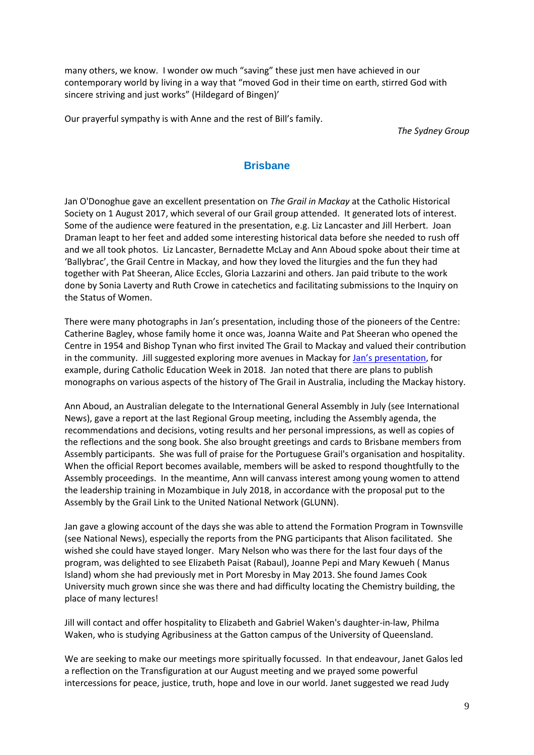many others, we know. I wonder ow much "saving" these just men have achieved in our contemporary world by living in a way that "moved God in their time on earth, stirred God with sincere striving and just works" (Hildegard of Bingen)'

Our prayerful sympathy is with Anne and the rest of Bill's family.

*The Sydney Group*

## **Brisbane**

Jan O'Donoghue gave an excellent presentation on *The Grail in Mackay* at the Catholic Historical Society on 1 August 2017, which several of our Grail group attended. It generated lots of interest. Some of the audience were featured in the presentation, e.g. Liz Lancaster and Jill Herbert. Joan Draman leapt to her feet and added some interesting historical data before she needed to rush off and we all took photos. Liz Lancaster, Bernadette McLay and Ann Aboud spoke about their time at 'Ballybrac', the Grail Centre in Mackay, and how they loved the liturgies and the fun they had together with Pat Sheeran, Alice Eccles, Gloria Lazzarini and others. Jan paid tribute to the work done by Sonia Laverty and Ruth Crowe in catechetics and facilitating submissions to the Inquiry on the Status of Women.

There were many photographs in Jan's presentation, including those of the pioneers of the Centre: Catherine Bagley, whose family home it once was, Joanna Waite and Pat Sheeran who opened the Centre in 1954 and Bishop Tynan who first invited The Grail to Mackay and valued their contribution in the community. Jill suggested exploring more avenues in Mackay for [Jan's presentation](http://www.grailaustralia.org.au/news/jan-odonoghue-presents-the-grail-in-mackay/), for example, during Catholic Education Week in 2018. Jan noted that there are plans to publish monographs on various aspects of the history of The Grail in Australia, including the Mackay history.

Ann Aboud, an Australian delegate to the International General Assembly in July (see International News), gave a report at the last Regional Group meeting, including the Assembly agenda, the recommendations and decisions, voting results and her personal impressions, as well as copies of the reflections and the song book. She also brought greetings and cards to Brisbane members from Assembly participants. She was full of praise for the Portuguese Grail's organisation and hospitality. When the official Report becomes available, members will be asked to respond thoughtfully to the Assembly proceedings. In the meantime, Ann will canvass interest among young women to attend the leadership training in Mozambique in July 2018, in accordance with the proposal put to the Assembly by the Grail Link to the United National Network (GLUNN).

Jan gave a glowing account of the days she was able to attend the Formation Program in Townsville (see National News), especially the reports from the PNG participants that Alison facilitated. She wished she could have stayed longer. Mary Nelson who was there for the last four days of the program, was delighted to see Elizabeth Paisat (Rabaul), Joanne Pepi and Mary Kewueh ( Manus Island) whom she had previously met in Port Moresby in May 2013. She found James Cook University much grown since she was there and had difficulty locating the Chemistry building, the place of many lectures!

Jill will contact and offer hospitality to Elizabeth and Gabriel Waken's daughter-in-law, Philma Waken, who is studying Agribusiness at the Gatton campus of the University of Queensland.

We are seeking to make our meetings more spiritually focussed. In that endeavour, Janet Galos led a reflection on the Transfiguration at our August meeting and we prayed some powerful intercessions for peace, justice, truth, hope and love in our world. Janet suggested we read Judy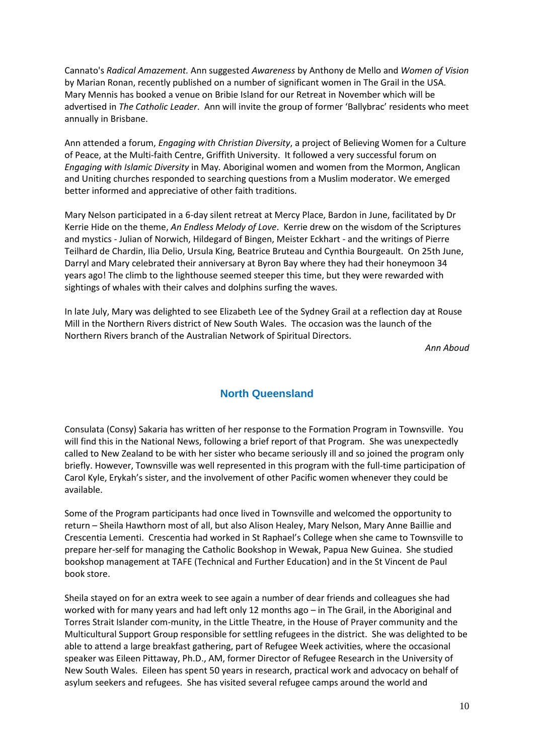Cannato's *Radical Amazement.* Ann suggested *Awareness* by Anthony de Mello and *Women of Vision*  by Marian Ronan, recently published on a number of significant women in The Grail in the USA. Mary Mennis has booked a venue on Bribie Island for our Retreat in November which will be advertised in *The Catholic Leader*. Ann will invite the group of former 'Ballybrac' residents who meet annually in Brisbane.

Ann attended a forum, *Engaging with Christian Diversity*, a project of Believing Women for a Culture of Peace, at the Multi-faith Centre, Griffith University. It followed a very successful forum on *Engaging with Islamic Diversity* in May*.* Aboriginal women and women from the Mormon, Anglican and Uniting churches responded to searching questions from a Muslim moderator. We emerged better informed and appreciative of other faith traditions.

Mary Nelson participated in a 6-day silent retreat at Mercy Place, Bardon in June, facilitated by Dr Kerrie Hide on the theme, *An Endless Melody of Love*. Kerrie drew on the wisdom of the Scriptures and mystics - Julian of Norwich, Hildegard of Bingen, Meister Eckhart - and the writings of Pierre Teilhard de Chardin, Ilia Delio, Ursula King, Beatrice Bruteau and Cynthia Bourgeault. On 25th June, Darryl and Mary celebrated their anniversary at Byron Bay where they had their honeymoon 34 years ago! The climb to the lighthouse seemed steeper this time, but they were rewarded with sightings of whales with their calves and dolphins surfing the waves.

In late July, Mary was delighted to see Elizabeth Lee of the Sydney Grail at a reflection day at Rouse Mill in the Northern Rivers district of New South Wales. The occasion was the launch of the Northern Rivers branch of the Australian Network of Spiritual Directors.

*Ann Aboud*

#### **North Queensland**

Consulata (Consy) Sakaria has written of her response to the Formation Program in Townsville. You will find this in the National News, following a brief report of that Program. She was unexpectedly called to New Zealand to be with her sister who became seriously ill and so joined the program only briefly. However, Townsville was well represented in this program with the full-time participation of Carol Kyle, Erykah's sister, and the involvement of other Pacific women whenever they could be available.

Some of the Program participants had once lived in Townsville and welcomed the opportunity to return – Sheila Hawthorn most of all, but also Alison Healey, Mary Nelson, Mary Anne Baillie and Crescentia Lementi. Crescentia had worked in St Raphael's College when she came to Townsville to prepare her-self for managing the Catholic Bookshop in Wewak, Papua New Guinea. She studied bookshop management at TAFE (Technical and Further Education) and in the St Vincent de Paul book store.

Sheila stayed on for an extra week to see again a number of dear friends and colleagues she had worked with for many years and had left only 12 months ago – in The Grail, in the Aboriginal and Torres Strait Islander com-munity, in the Little Theatre, in the House of Prayer community and the Multicultural Support Group responsible for settling refugees in the district. She was delighted to be able to attend a large breakfast gathering, part of Refugee Week activities, where the occasional speaker was Eileen Pittaway, Ph.D., AM, former Director of Refugee Research in the University of New South Wales. Eileen has spent 50 years in research, practical work and advocacy on behalf of asylum seekers and refugees. She has visited several refugee camps around the world and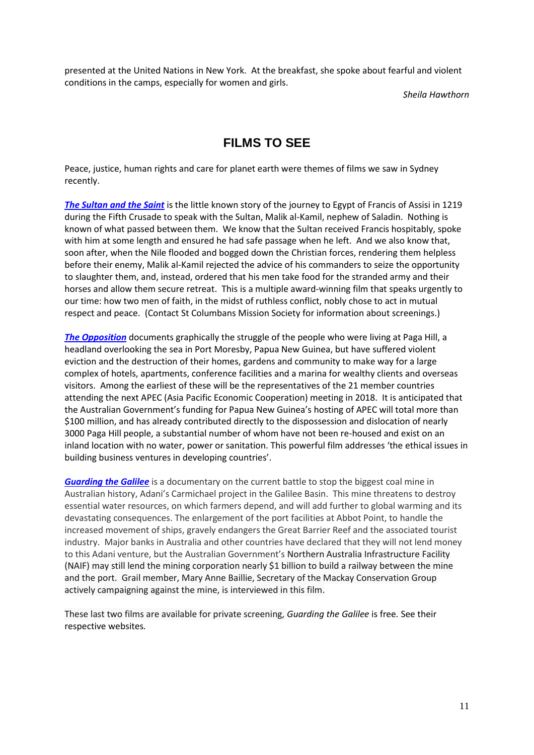presented at the United Nations in New York. At the breakfast, she spoke about fearful and violent conditions in the camps, especially for women and girls.

*Sheila Hawthorn*

# **FILMS TO SEE**

Peace, justice, human rights and care for planet earth were themes of films we saw in Sydney recently.

*[The Sultan and the Saint](https://www.sultanandthesaintfilm.com/about-the-film/)* is the little known story of the journey to Egypt of Francis of Assisi in 1219 during the Fifth Crusade to speak with the Sultan, Malik al-Kamil, nephew of Saladin. Nothing is known of what passed between them. We know that the Sultan received Francis hospitably, spoke with him at some length and ensured he had safe passage when he left. And we also know that, soon after, when the Nile flooded and bogged down the Christian forces, rendering them helpless before their enemy, Malik al-Kamil rejected the advice of his commanders to seize the opportunity to slaughter them, and, instead, ordered that his men take food for the stranded army and their horses and allow them secure retreat. This is a multiple award-winning film that speaks urgently to our time: how two men of faith, in the midst of ruthless conflict, nobly chose to act in mutual respect and peace. (Contact St Columbans Mission Society for information about screenings.)

*[The Opposition](http://theoppositionfilm.com/)* documents graphically the struggle of the people who were living at Paga Hill, a headland overlooking the sea in Port Moresby, Papua New Guinea, but have suffered violent eviction and the destruction of their homes, gardens and community to make way for a large complex of hotels, apartments, conference facilities and a marina for wealthy clients and overseas visitors. Among the earliest of these will be the representatives of the 21 member countries attending the next APEC (Asia Pacific Economic Cooperation) meeting in 2018. It is anticipated that the Australian Government's funding for Papua New Guinea's hosting of APEC will total more than \$100 million, and has already contributed directly to the dispossession and dislocation of nearly 3000 Paga Hill people, a substantial number of whom have not been re-housed and exist on an inland location with no water, power or sanitation. This powerful film addresses 'the ethical issues in building business ventures in developing countries'.

*[Guarding the Galilee](https://www.guardingthegalilee.com/)* is a documentary on the current battle to stop the biggest coal mine in Australian history, Adani's Carmichael project in the Galilee Basin. This mine threatens to destroy essential water resources, on which farmers depend, and will add further to global warming and its devastating consequences. The enlargement of the port facilities at Abbot Point, to handle the increased movement of ships, gravely endangers the Great Barrier Reef and the associated tourist industry. Major banks in Australia and other countries have declared that they will not lend money to this Adani venture, but the Australian Government's Northern Australia Infrastructure Facility (NAIF) may still lend the mining corporation nearly \$1 billion to build a railway between the mine and the port. Grail member, Mary Anne Baillie, Secretary of the Mackay Conservation Group actively campaigning against the mine, is interviewed in this film.

These last two films are available for private screening, *Guarding the Galilee* is free*.* See their respective websites*.*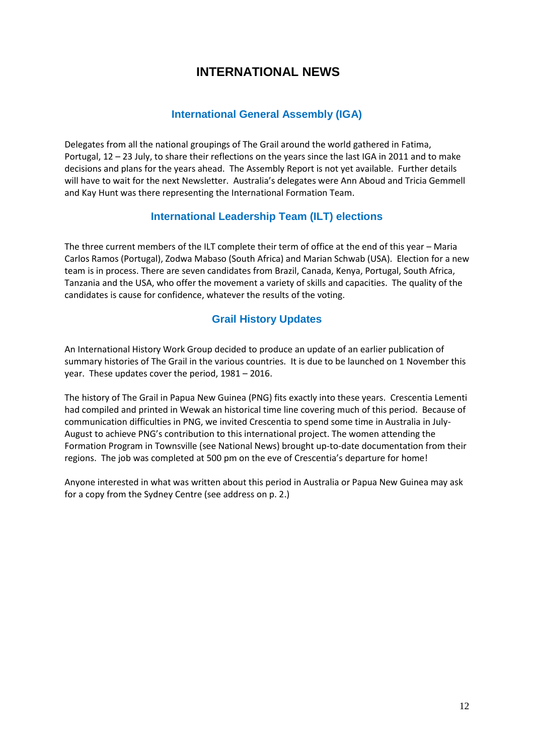# **INTERNATIONAL NEWS**

## **International General Assembly (IGA)**

Delegates from all the national groupings of The Grail around the world gathered in Fatima, Portugal, 12 – 23 July, to share their reflections on the years since the last IGA in 2011 and to make decisions and plans for the years ahead. The Assembly Report is not yet available. Further details will have to wait for the next Newsletter. Australia's delegates were Ann Aboud and Tricia Gemmell and Kay Hunt was there representing the International Formation Team.

### **International Leadership Team (ILT) elections**

The three current members of the ILT complete their term of office at the end of this year – Maria Carlos Ramos (Portugal), Zodwa Mabaso (South Africa) and Marian Schwab (USA). Election for a new team is in process. There are seven candidates from Brazil, Canada, Kenya, Portugal, South Africa, Tanzania and the USA, who offer the movement a variety of skills and capacities. The quality of the candidates is cause for confidence, whatever the results of the voting.

# **Grail History Updates**

An International History Work Group decided to produce an update of an earlier publication of summary histories of The Grail in the various countries. It is due to be launched on 1 November this year. These updates cover the period, 1981 – 2016.

The history of The Grail in Papua New Guinea (PNG) fits exactly into these years. Crescentia Lementi had compiled and printed in Wewak an historical time line covering much of this period. Because of communication difficulties in PNG, we invited Crescentia to spend some time in Australia in July-August to achieve PNG's contribution to this international project. The women attending the Formation Program in Townsville (see National News) brought up-to-date documentation from their regions. The job was completed at 500 pm on the eve of Crescentia's departure for home!

Anyone interested in what was written about this period in Australia or Papua New Guinea may ask for a copy from the Sydney Centre (see address on p. 2.)